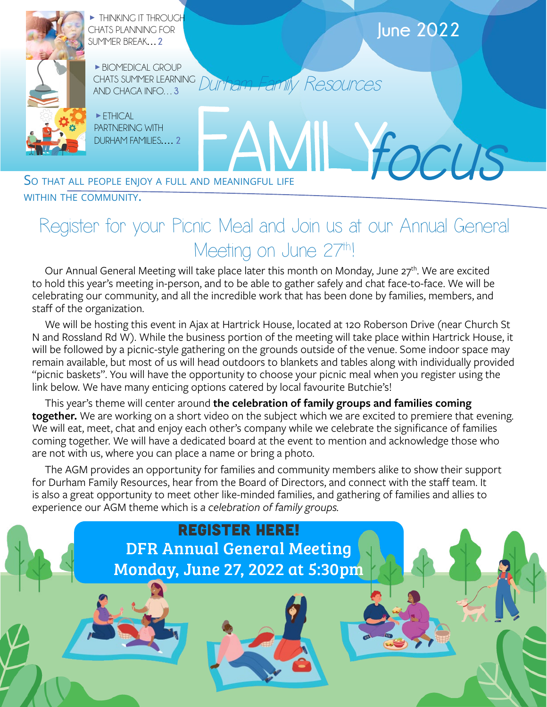

WITHIN THE COMMUNITY.

## Register for your Picnic Meal and Join us at our Annual General Meeting on June 27th!

Our Annual General Meeting will take place later this month on Monday, June  $27<sup>th</sup>$ . We are excited to hold this year's meeting in-person, and to be able to gather safely and chat face-to-face. We will be celebrating our community, and all the incredible work that has been done by families, members, and staff of the organization.

We will be hosting this event in Ajax at Hartrick House, located at 120 Roberson Drive (near Church St N and Rossland Rd W). While the business portion of the meeting will take place within Hartrick House, it will be followed by a picnic-style gathering on the grounds outside of the venue. Some indoor space may remain available, but most of us will head outdoors to blankets and tables along with individually provided "picnic baskets". You will have the opportunity to choose your picnic meal when you register using the link below. We have many enticing options catered by local favourite Butchie's!

This year's theme will center around **the celebration of family groups and families coming together.** We are working on a short video on the subject which we are excited to premiere that evening. We will eat, meet, chat and enjoy each other's company while we celebrate the significance of families coming together. We will have a dedicated board at the event to mention and acknowledge those who are not with us, where you can place a name or bring a photo.

The AGM provides an opportunity for families and community members alike to show their support for Durham Family Resources, hear from the Board of Directors, and connect with the staff team. It is also a great opportunity to meet other like-minded families, and gathering of families and allies to experience our AGM theme which is *a celebration of family groups.* 

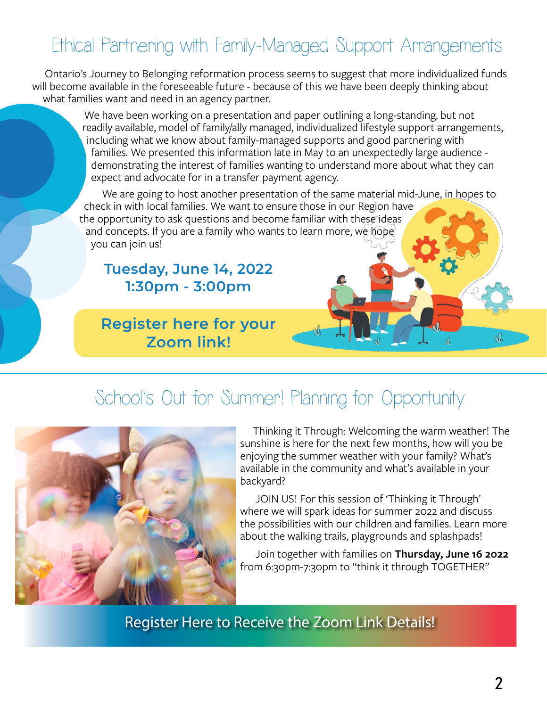# Ethical Partnering with Family-Managed Support Arrangements

Ontario's Journey to Belonging reformation process seems to suggest that more individualized funds will become available in the foreseeable future - because of this we have been deeply thinking about what families want and need in an agency partner.

> We have been working on a presentation and paper outlining a long-standing, but not readily available, model of family/ally managed, individualized lifestyle support arrangements, including what we know about family-managed supports and good partnering with families. We presented this information late in May to an unexpectedly large audience demonstrating the interest of families wanting to understand more about what they can expect and advocate for in a transfer payment agency.

We are going to host another presentation of the same material mid-June, in hopes to check in with local families. We want to ensure those in our Region have the opportunity to ask questions and become familiar with these ideas and concepts. If you are a family who wants to learn more, we hope you can join us!

#### **Tuesday, June 14, 2022 1:30pm - 3:00pm**

#### **[Register here for your](https://us02web.zoom.us/meeting/register/tZUkdO2vrjooH9cmYQLN-e_ofO1kbYa-dR4M)  Zoom link!**

## School's Out for Summer! Planning for Opportunity



Thinking it Through: Welcoming the warm weather! The sunshine is here for the next few months, how will you be enjoying the summer weather with your family? What's available in the community and what's available in your backyard?

 JOIN US! For this session of 'Thinking it Through' where we will spark ideas for summer 2022 and discuss the possibilities with our children and families. Learn more about the walking trails, playgrounds and splashpads!

 Join together with families on **Thursday, June 16 2022** from 6:30pm-7:30pm to "think it through TOGETHER"

[Register Here to Receive the Zoom Link Details!](https://us02web.zoom.us/meeting/register/tZAod-isrTMtEtdoJRYIfJMArw85KJz1CsS7)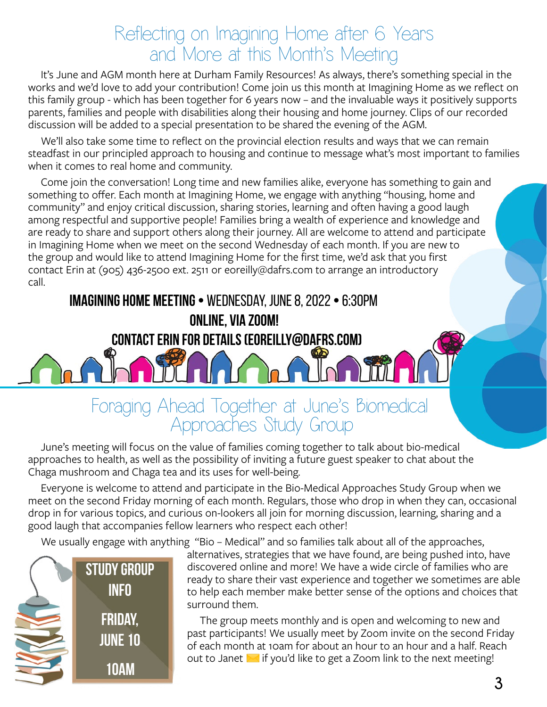### Reflecting on Imagining Home after 6 Years and More at this Month's Meeting

It's June and AGM month here at Durham Family Resources! As always, there's something special in the works and we'd love to add your contribution! Come join us this month at Imagining Home as we reflect on this family group - which has been together for 6 years now – and the invaluable ways it positively supports parents, families and people with disabilities along their housing and home journey. Clips of our recorded discussion will be added to a special presentation to be shared the evening of the AGM.

We'll also take some time to reflect on the provincial election results and ways that we can remain steadfast in our principled approach to housing and continue to message what's most important to families when it comes to real home and community.

Come join the conversation! Long time and new families alike, everyone has something to gain and something to offer. Each month at Imagining Home, we engage with anything "housing, home and community" and enjoy critical discussion, sharing stories, learning and often having a good laugh among respectful and supportive people! Families bring a wealth of experience and knowledge and are ready to share and support others along their journey. All are welcome to attend and participate in Imagining Home when we meet on the second Wednesday of each month. If you are new to the group and would like to attend Imagining Home for the first time, we'd ask that you first contact Erin at (905) 436-2500 ext. 2511 or eoreilly@dafrs.com to arrange an introductory call.

**Imagining Home Meeting •** Wednesday, june 8, 2022 **•** 6:30pm **Online, via Zoom! Contact Erin for Details (eoreilly@dafrs.com)**

# Foraging Ahead Together at June's Biomedical Approaches Study Group

June's meeting will focus on the value of families coming together to talk about bio-medical approaches to health, as well as the possibility of inviting a future guest speaker to chat about the Chaga mushroom and Chaga tea and its uses for well-being.

Everyone is welcome to attend and participate in the Bio-Medical Approaches Study Group when we meet on the second Friday morning of each month. Regulars, those who drop in when they can, occasional drop in for various topics, and curious on-lookers all join for morning discussion, learning, sharing and a good laugh that accompanies fellow learners who respect each other!

We usually engage with anything "Bio – Medical" and so families talk about all of the approaches,



alternatives, strategies that we have found, are being pushed into, have discovered online and more! We have a wide circle of families who are ready to share their vast experience and together we sometimes are able to help each member make better sense of the options and choices that surround them.

The group meets monthly and is open and welcoming to new and past participants! We usually meet by Zoom invite on the second Friday of each month at 10am for about an hour to an hour and a half. Reach out to [Janet](mailto:jklees%40dafrs.com?subject=I%27d%20like%20to%20attend%20the%20Bio-Medical%20Approaches%20Study%20Group%21)  $\blacksquare$  if you'd like to get a Zoom link to the next meeting!